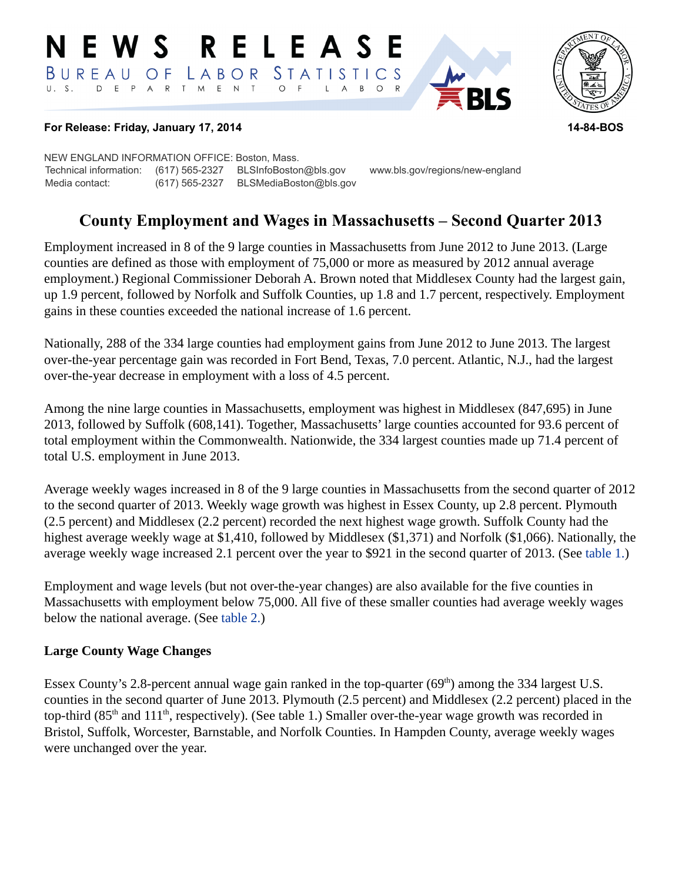#### RELEASE **N E W S** LABOR STATISTICS BUREAU OF D E P A R T M E N T  $\circ$  $F$  $B$  $\circ$ L  $\overline{\mathsf{A}}$



#### **For Release: Friday, January 17, 2014 14-84-BOS**

NEW ENGLAND INFORMATION OFFICE: Boston, Mass. Technical information: (617) 565-2327 BLSInfoBoston@bls.gov www.bls.gov/regions/new-england Media contact: (617) 565-2327 BLSMediaBoston@bls.gov

## **County Employment and Wages in Massachusetts – Second Quarter 2013**

Employment increased in 8 of the 9 large counties in Massachusetts from June 2012 to June 2013. (Large counties are defined as those with employment of 75,000 or more as measured by 2012 annual average employment.) Regional Commissioner Deborah A. Brown noted that Middlesex County had the largest gain, up 1.9 percent, followed by Norfolk and Suffolk Counties, up 1.8 and 1.7 percent, respectively. Employment gains in these counties exceeded the national increase of 1.6 percent.

Nationally, 288 of the 334 large counties had employment gains from June 2012 to June 2013. The largest over-the-year percentage gain was recorded in Fort Bend, Texas, 7.0 percent. Atlantic, N.J., had the largest over-the-year decrease in employment with a loss of 4.5 percent.

Among the nine large counties in Massachusetts, employment was highest in Middlesex (847,695) in June 2013, followed by Suffolk (608,141). Together, Massachusetts' large counties accounted for 93.6 percent of total employment within the Commonwealth. Nationwide, the 334 largest counties made up 71.4 percent of total U.S. employment in June 2013.

Average weekly wages increased in 8 of the 9 large counties in Massachusetts from the second quarter of 2012 to the second quarter of 2013. Weekly wage growth was highest in Essex County, up 2.8 percent. Plymouth (2.5 percent) and Middlesex (2.2 percent) recorded the next highest wage growth. Suffolk County had the highest average weekly wage at \$1,410, followed by Middlesex (\$1,371) and Norfolk (\$1,066). Nationally, the average weekly wage increased 2.1 percent over the year to \$921 in the second quarter of 2013. (See [table 1.](#page-3-0))

Employment and wage levels (but not over-the-year changes) are also available for the five counties in Massachusetts with employment below 75,000. All five of these smaller counties had average weekly wages below the national average. (See [table 2.](#page-4-0))

#### **Large County Wage Changes**

Essex County's 2.8-percent annual wage gain ranked in the top-quarter  $(69<sup>th</sup>)$  among the 334 largest U.S. counties in the second quarter of June 2013. Plymouth (2.5 percent) and Middlesex (2.2 percent) placed in the top-third (85<sup>th</sup> and 111<sup>th</sup>, respectively). (See table 1.) Smaller over-the-year wage growth was recorded in Bristol, Suffolk, Worcester, Barnstable, and Norfolk Counties. In Hampden County, average weekly wages were unchanged over the year.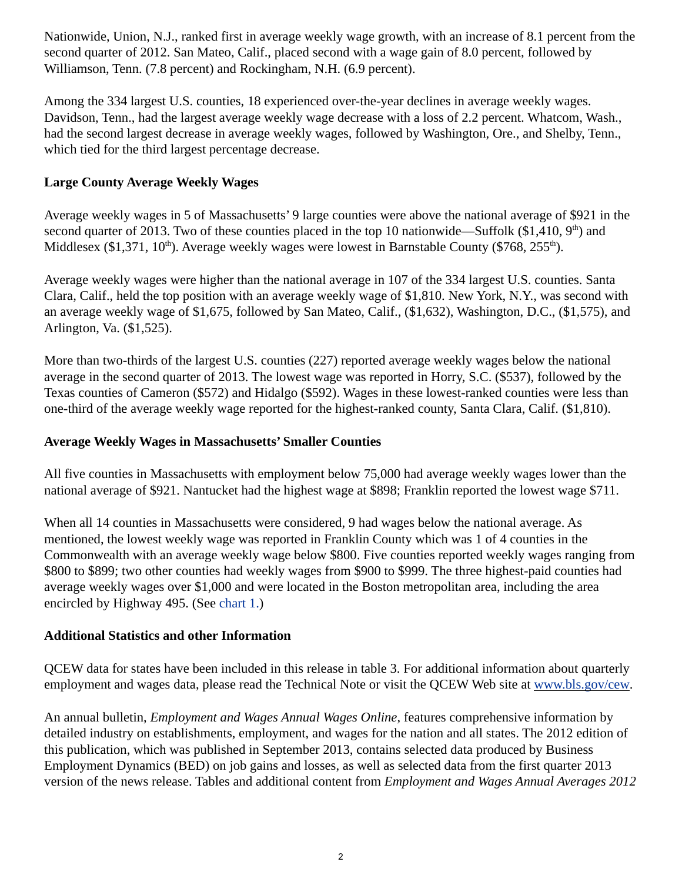Nationwide, Union, N.J., ranked first in average weekly wage growth, with an increase of 8.1 percent from the second quarter of 2012. San Mateo, Calif., placed second with a wage gain of 8.0 percent, followed by Williamson, Tenn. (7.8 percent) and Rockingham, N.H. (6.9 percent).

Among the 334 largest U.S. counties, 18 experienced over-the-year declines in average weekly wages. Davidson, Tenn., had the largest average weekly wage decrease with a loss of 2.2 percent. Whatcom, Wash., had the second largest decrease in average weekly wages, followed by Washington, Ore., and Shelby, Tenn., which tied for the third largest percentage decrease.

#### **Large County Average Weekly Wages**

Average weekly wages in 5 of Massachusetts' 9 large counties were above the national average of \$921 in the second quarter of 2013. Two of these counties placed in the top 10 nationwide—Suffolk (\$1,410,  $9<sup>th</sup>$ ) and Middlesex (\$1,371,  $10<sup>th</sup>$ ). Average weekly wages were lowest in Barnstable County (\$768, 255<sup>th</sup>).

Average weekly wages were higher than the national average in 107 of the 334 largest U.S. counties. Santa Clara, Calif., held the top position with an average weekly wage of \$1,810. New York, N.Y., was second with an average weekly wage of \$1,675, followed by San Mateo, Calif., (\$1,632), Washington, D.C., (\$1,575), and Arlington, Va. (\$1,525).

More than two-thirds of the largest U.S. counties (227) reported average weekly wages below the national average in the second quarter of 2013. The lowest wage was reported in Horry, S.C. (\$537), followed by the Texas counties of Cameron (\$572) and Hidalgo (\$592). Wages in these lowest-ranked counties were less than one-third of the average weekly wage reported for the highest-ranked county, Santa Clara, Calif. (\$1,810).

#### **Average Weekly Wages in Massachusetts' Smaller Counties**

All five counties in Massachusetts with employment below 75,000 had average weekly wages lower than the national average of \$921. Nantucket had the highest wage at \$898; Franklin reported the lowest wage \$711.

When all 14 counties in Massachusetts were considered, 9 had wages below the national average. As mentioned, the lowest weekly wage was reported in Franklin County which was 1 of 4 counties in the Commonwealth with an average weekly wage below \$800. Five counties reported weekly wages ranging from \$800 to \$899; two other counties had weekly wages from \$900 to \$999. The three highest-paid counties had average weekly wages over \$1,000 and were located in the Boston metropolitan area, including the area encircled by Highway 495. (See [chart 1.\)](#page-6-0)

#### **Additional Statistics and other Information**

QCEW data for states have been included in this release in table 3. For additional information about quarterly employment and wages data, please read the Technical Note or visit the QCEW Web site at [www.bls.gov/cew](https://www.bls.gov/cew).

An annual bulletin, *Employment and Wages Annual Wages Online*, features comprehensive information by detailed industry on establishments, employment, and wages for the nation and all states. The 2012 edition of this publication, which was published in September 2013, contains selected data produced by Business Employment Dynamics (BED) on job gains and losses, as well as selected data from the first quarter 2013 version of the news release. Tables and additional content from *Employment and Wages Annual Averages 2012*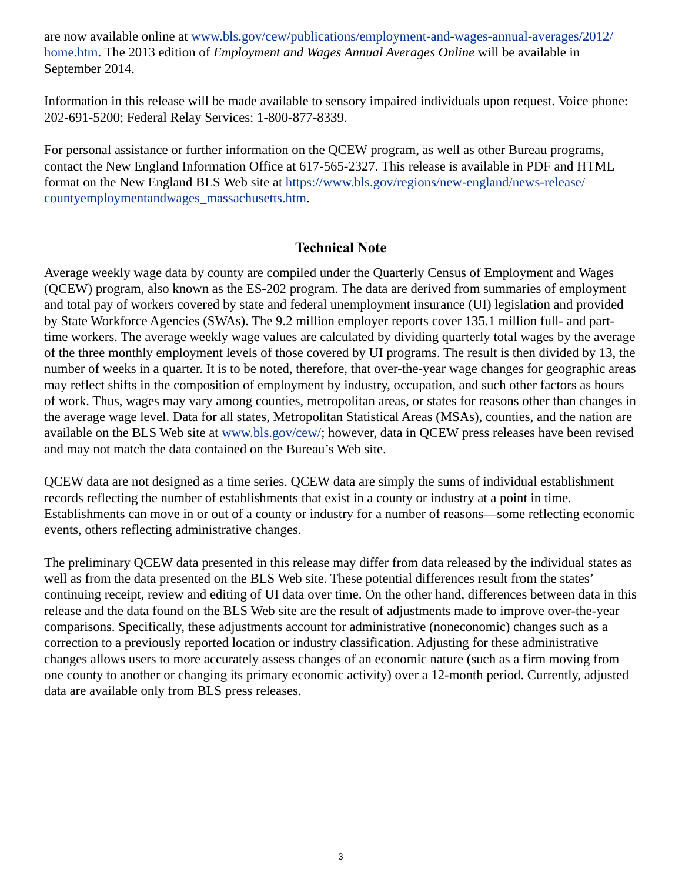are now available online at [www.bls.gov/cew/publications/employment-and-wages-annual-averages/2012/](https://www.bls.gov/cew/publications/employment-and-wages-annual-averages/2012/home.htm) [home.htm.](https://www.bls.gov/cew/publications/employment-and-wages-annual-averages/2012/home.htm) The 2013 edition of *Employment and Wages Annual Averages Online* will be available in September 2014.

Information in this release will be made available to sensory impaired individuals upon request. Voice phone: 202-691-5200; Federal Relay Services: 1-800-877-8339.

For personal assistance or further information on the QCEW program, as well as other Bureau programs, contact the New England Information Office at 617-565-2327. This release is available in PDF and HTML format on the New England BLS Web site at [https://www.bls.gov/regions/new-england/news-release/](https://www.bls.gov/regions/new-england/news-release/countyemploymentandwages_massachusetts.htm) [countyemploymentandwages\\_massachusetts.htm](https://www.bls.gov/regions/new-england/news-release/countyemploymentandwages_massachusetts.htm).

#### **Technical Note**

Average weekly wage data by county are compiled under the Quarterly Census of Employment and Wages (QCEW) program, also known as the ES-202 program. The data are derived from summaries of employment and total pay of workers covered by state and federal unemployment insurance (UI) legislation and provided by State Workforce Agencies (SWAs). The 9.2 million employer reports cover 135.1 million full- and parttime workers. The average weekly wage values are calculated by dividing quarterly total wages by the average of the three monthly employment levels of those covered by UI programs. The result is then divided by 13, the number of weeks in a quarter. It is to be noted, therefore, that over-the-year wage changes for geographic areas may reflect shifts in the composition of employment by industry, occupation, and such other factors as hours of work. Thus, wages may vary among counties, metropolitan areas, or states for reasons other than changes in the average wage level. Data for all states, Metropolitan Statistical Areas (MSAs), counties, and the nation are available on the BLS Web site at [www.bls.gov/cew/](https://www.bls.gov/cew/); however, data in QCEW press releases have been revised and may not match the data contained on the Bureau's Web site.

QCEW data are not designed as a time series. QCEW data are simply the sums of individual establishment records reflecting the number of establishments that exist in a county or industry at a point in time. Establishments can move in or out of a county or industry for a number of reasons—some reflecting economic events, others reflecting administrative changes.

The preliminary QCEW data presented in this release may differ from data released by the individual states as well as from the data presented on the BLS Web site. These potential differences result from the states' continuing receipt, review and editing of UI data over time. On the other hand, differences between data in this release and the data found on the BLS Web site are the result of adjustments made to improve over-the-year comparisons. Specifically, these adjustments account for administrative (noneconomic) changes such as a correction to a previously reported location or industry classification. Adjusting for these administrative changes allows users to more accurately assess changes of an economic nature (such as a firm moving from one county to another or changing its primary economic activity) over a 12-month period. Currently, adjusted data are available only from BLS press releases.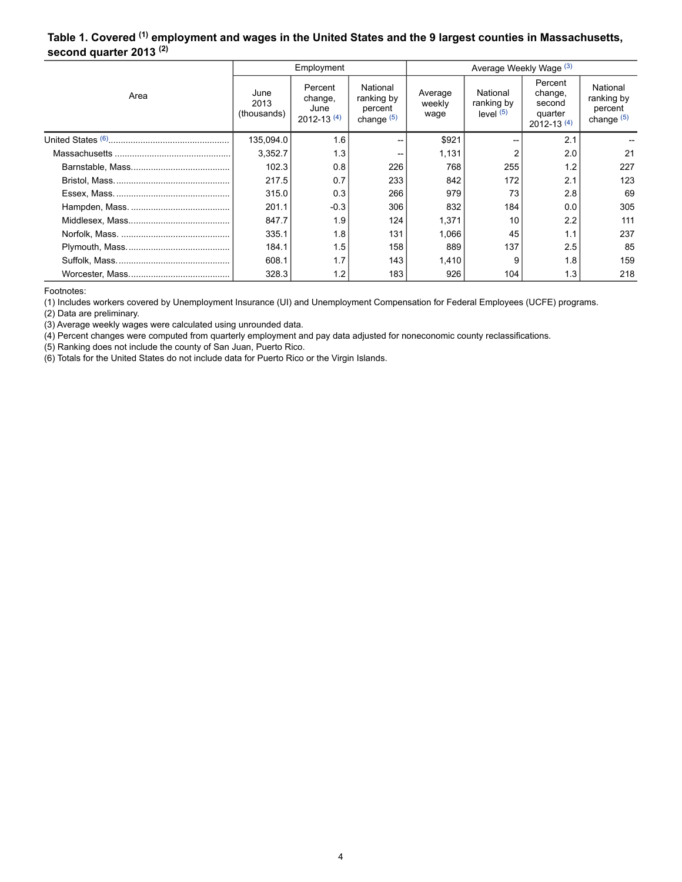#### <span id="page-3-0"></span>**Table 1. Covered (1) employment and wages in the United States and the 9 largest counties in Massachusetts, second quarter 2013 (2)**

|      |                             | Employment                                   |                                                   | Average Weekly Wage (3)   |                                       |                                                           |                                                   |  |
|------|-----------------------------|----------------------------------------------|---------------------------------------------------|---------------------------|---------------------------------------|-----------------------------------------------------------|---------------------------------------------------|--|
| Area | June<br>2013<br>(thousands) | Percent<br>change,<br>June<br>$2012 - 13(4)$ | National<br>ranking by<br>percent<br>change $(5)$ | Average<br>weekly<br>wage | National<br>ranking by<br>level $(5)$ | Percent<br>change,<br>second<br>quarter<br>$2012 - 13(4)$ | National<br>ranking by<br>percent<br>change $(5)$ |  |
|      | 135,094.0                   | 1.6                                          |                                                   | \$921                     |                                       | 2.1                                                       |                                                   |  |
|      | 3,352.7                     | 1.3                                          |                                                   | 1,131                     |                                       | 2.0                                                       | 21                                                |  |
|      | 102.3                       | 0.8                                          | 226                                               | 768                       | 255                                   | 1.2                                                       | 227                                               |  |
|      | 217.5                       | 0.7                                          | 233                                               | 842                       | 172                                   | 2.1                                                       | 123                                               |  |
|      | 315.0                       | 0.3                                          | 266                                               | 979                       | 73                                    | 2.8                                                       | 69                                                |  |
|      | 201.1                       | $-0.3$                                       | 306                                               | 832                       | 184                                   | 0.0                                                       | 305                                               |  |
|      | 847.7                       | 1.9                                          | 124                                               | 1,371                     | 10                                    | 2.2                                                       | 111                                               |  |
|      | 335.1                       | 1.8                                          | 131                                               | 1.066                     | 45                                    | 1.1                                                       | 237                                               |  |
|      | 184.1                       | 1.5                                          | 158                                               | 889                       | 137                                   | 2.5                                                       | 85                                                |  |
|      | 608.1                       | 1.7                                          | 143                                               | 1,410                     | 9                                     | 1.8                                                       | 159                                               |  |
|      | 328.3                       | 1.2                                          | 183                                               | 926                       | 104                                   | 1.3                                                       | 218                                               |  |

<span id="page-3-1"></span>Footnotes:

(1) Includes workers covered by Unemployment Insurance (UI) and Unemployment Compensation for Federal Employees (UCFE) programs.

(2) Data are preliminary.

(3) Average weekly wages were calculated using unrounded data.

(4) Percent changes were computed from quarterly employment and pay data adjusted for noneconomic county reclassifications.

(5) Ranking does not include the county of San Juan, Puerto Rico.

(6) Totals for the United States do not include data for Puerto Rico or the Virgin Islands.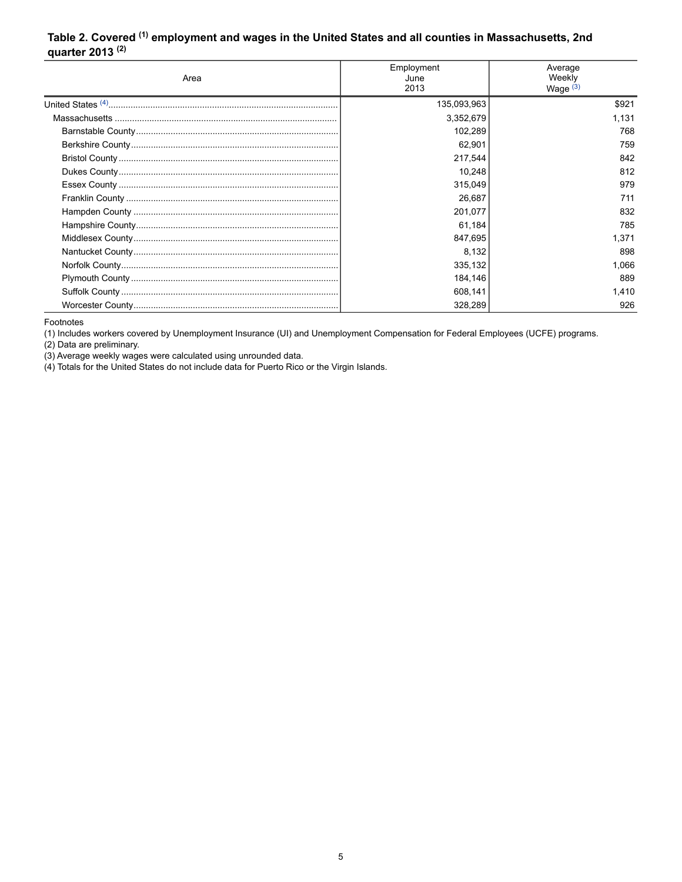#### <span id="page-4-0"></span>**Table 2. Covered (1) employment and wages in the United States and all counties in Massachusetts, 2nd quarter 2013 (2)**

| Area | Employment<br>June<br>2013 | Average<br>Weekly<br>Wage $(3)$ |  |
|------|----------------------------|---------------------------------|--|
|      | 135,093,963                | \$921                           |  |
|      | 3,352,679                  | 1,131                           |  |
|      | 102,289                    | 768                             |  |
|      | 62,901                     | 759                             |  |
|      | 217,544                    | 842                             |  |
|      | 10,248                     | 812                             |  |
|      | 315,049                    | 979                             |  |
|      | 26,687                     | 711                             |  |
|      | 201,077                    | 832                             |  |
|      | 61,184                     | 785                             |  |
|      | 847,695                    | 1.371                           |  |
|      | 8,132                      | 898                             |  |
|      | 335,132                    | 1,066                           |  |
|      | 184,146                    | 889                             |  |
|      | 608,141                    | 1.410                           |  |
|      | 328,289                    | 926                             |  |

<span id="page-4-1"></span>Footnotes

(1) Includes workers covered by Unemployment Insurance (UI) and Unemployment Compensation for Federal Employees (UCFE) programs.

(2) Data are preliminary.

(3) Average weekly wages were calculated using unrounded data.

(4) Totals for the United States do not include data for Puerto Rico or the Virgin Islands.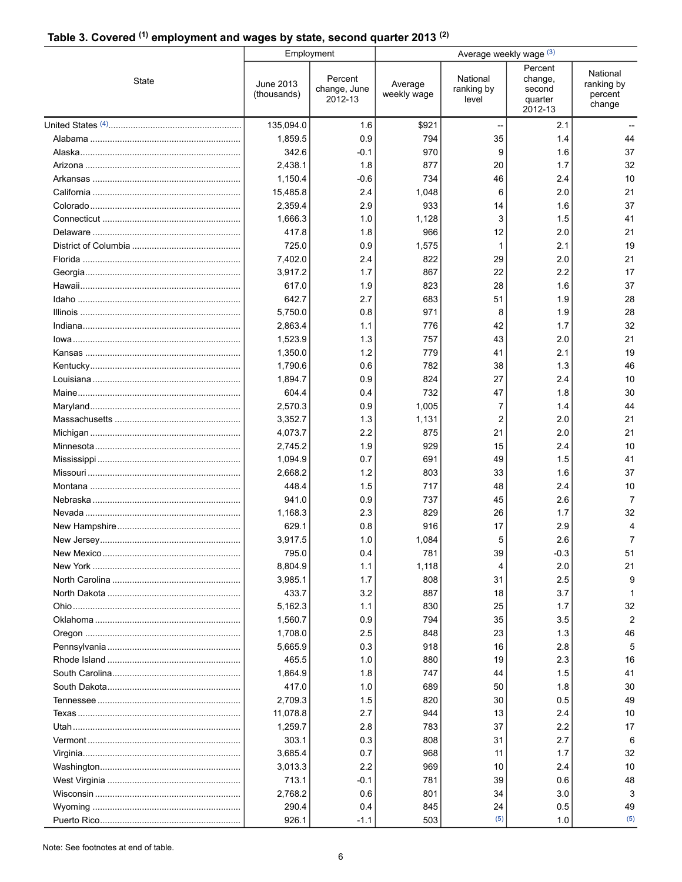# **Table 3. Covered (1) employment and wages by state, second quarter 2013 (2)**

|          |                          | Employment                         | Average weekly wage (3) |                                 |                                                    |                                             |  |
|----------|--------------------------|------------------------------------|-------------------------|---------------------------------|----------------------------------------------------|---------------------------------------------|--|
| State    | June 2013<br>(thousands) | Percent<br>change, June<br>2012-13 | Average<br>weekly wage  | National<br>ranking by<br>level | Percent<br>change,<br>second<br>quarter<br>2012-13 | National<br>ranking by<br>percent<br>change |  |
|          | 135,094.0                | 1.6                                | \$921                   |                                 | 2.1                                                |                                             |  |
|          | 1,859.5                  | 0.9                                | 794                     | 35                              | 1.4                                                | 44                                          |  |
|          | 342.6                    | $-0.1$                             | 970                     | 9                               | 1.6                                                | 37                                          |  |
|          | 2,438.1                  | 1.8                                | 877                     | 20                              | 1.7                                                | 32                                          |  |
|          | 1,150.4                  | $-0.6$                             | 734                     | 46                              | 2.4                                                | 10                                          |  |
|          | 15,485.8                 | 2.4                                | 1,048                   | 6                               | 2.0                                                | 21                                          |  |
|          | 2,359.4                  | 2.9                                | 933                     | 14                              | 1.6                                                | 37                                          |  |
|          | 1,666.3                  | 1.0                                | 1,128                   | 3                               | 1.5                                                | 41                                          |  |
|          | 417.8                    | 1.8                                | 966                     | 12                              | 2.0                                                | 21                                          |  |
|          | 725.0                    | 0.9                                | 1,575                   | 1                               | 2.1                                                | 19                                          |  |
|          | 7,402.0                  | 2.4                                | 822                     | 29                              | 2.0                                                | 21                                          |  |
|          | 3,917.2                  | 1.7                                | 867                     | 22                              | 2.2                                                | 17                                          |  |
|          | 617.0                    | 1.9                                | 823                     | 28                              | 1.6                                                | 37                                          |  |
|          | 642.7                    | 2.7                                | 683                     | 51                              | 1.9                                                | 28                                          |  |
|          | 5,750.0                  | 0.8                                | 971                     | 8                               | 1.9                                                | 28                                          |  |
|          | 2,863.4                  | 1.1                                | 776                     | 42                              | 1.7                                                | 32                                          |  |
|          | 1,523.9                  | 1.3                                | 757                     | 43                              | 2.0                                                | 21                                          |  |
|          | 1,350.0                  | 1.2                                | 779                     | 41                              | 2.1                                                | 19                                          |  |
|          | 1,790.6                  | 0.6                                | 782                     | 38                              | 1.3                                                | 46                                          |  |
|          | 1,894.7                  | 0.9                                | 824                     | 27                              | 2.4                                                | 10                                          |  |
|          | 604.4                    | 0.4                                | 732                     | 47                              | 1.8                                                | 30                                          |  |
|          | 2,570.3                  | 0.9                                | 1,005                   | 7                               | 1.4                                                | 44                                          |  |
|          | 3,352.7                  | 1.3                                | 1,131                   | $\overline{2}$                  | 2.0                                                | 21                                          |  |
|          | 4,073.7                  | 2.2                                | 875                     | 21                              | 2.0                                                | 21                                          |  |
|          | 2,745.2                  | 1.9                                | 929                     | 15                              | 2.4                                                | 10                                          |  |
|          | 1,094.9                  | 0.7<br>1.2                         | 691                     | 49                              | 1.5                                                | 41<br>37                                    |  |
|          | 2,668.2<br>448.4         | 1.5                                | 803<br>717              | 33<br>48                        | 1.6<br>2.4                                         | 10                                          |  |
|          | 941.0                    | 0.9                                | 737                     | 45                              | 2.6                                                | $\overline{7}$                              |  |
|          | 1,168.3                  | 2.3                                | 829                     | 26                              | 1.7                                                | 32                                          |  |
|          | 629.1                    | 0.8                                | 916                     | 17                              | 2.9                                                | 4                                           |  |
|          | 3,917.5                  | 1.0                                | 1,084                   | 5                               | 2.6                                                | $\overline{7}$                              |  |
|          | 795.0                    | 0.4                                | 781                     | 39                              | $-0.3$                                             | 51                                          |  |
| New York | 8,804.9                  | 1.1                                | 1,118                   | 4                               | 2.0                                                | 21                                          |  |
|          | 3,985.1                  | 1.7                                | 808                     | 31                              | 2.5                                                | 9                                           |  |
|          | 433.7                    | 3.2                                | 887                     | 18                              | 3.7                                                | -1                                          |  |
|          | 5,162.3                  | 1.1                                | 830                     | 25                              | 1.7                                                | 32                                          |  |
|          | 1,560.7                  | 0.9                                | 794                     | 35                              | 3.5                                                | $\overline{2}$                              |  |
|          | 1,708.0                  | 2.5                                | 848                     | 23                              | 1.3                                                | 46                                          |  |
|          | 5,665.9                  | 0.3                                | 918                     | 16                              | 2.8                                                | 5                                           |  |
|          | 465.5                    | 1.0                                | 880                     | 19                              | 2.3                                                | 16                                          |  |
|          | 1,864.9                  | 1.8                                | 747                     | 44                              | 1.5                                                | 41                                          |  |
|          | 417.0                    | 1.0                                | 689                     | 50                              | 1.8                                                | 30                                          |  |
|          | 2,709.3                  | 15                                 | 820                     | 30                              | 0.5                                                | 49                                          |  |
|          | 11,078.8                 | 2.7                                | 944                     | 13                              | 2.4                                                | 10                                          |  |
|          | 1,259.7                  | 2.8                                | 783                     | 37                              | 2.2                                                | 17                                          |  |
|          | 303.1                    | 0.3                                | 808                     | 31                              | 2.7                                                | 6                                           |  |
|          | 3,685.4                  | 0.7                                | 968                     | 11                              | 1.7                                                | 32                                          |  |
|          | 3,013.3                  | 2.2                                | 969                     | 10                              | 2.4                                                | 10                                          |  |
|          | 713.1                    | -0.1                               | 781                     | 39                              | 0.6                                                | 48                                          |  |
|          | 2,768.2                  | 0.6                                | 801                     | 34                              | 3.0                                                | 3                                           |  |
|          | 290.4                    | 0.4                                | 845                     | 24                              | 0.5                                                | 49                                          |  |
|          | 926.1                    | $-1.1$                             | 503                     | (5)                             | 1.0                                                | (5)                                         |  |